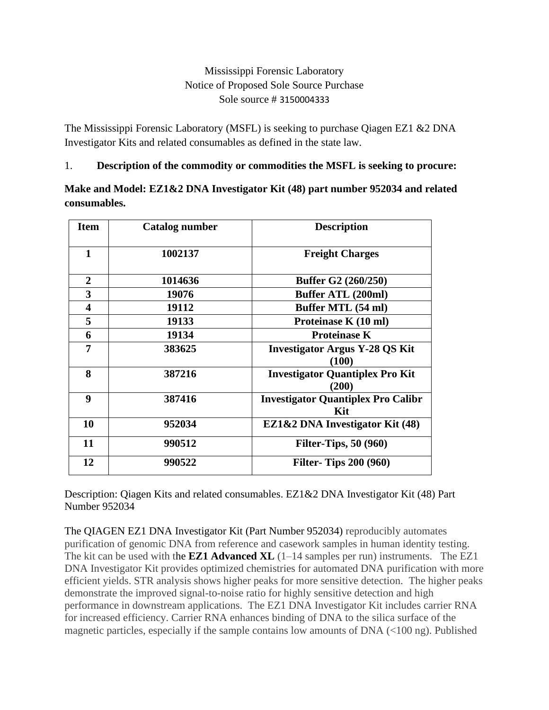## Mississippi Forensic Laboratory Notice of Proposed Sole Source Purchase Sole source # 3150004333

The Mississippi Forensic Laboratory (MSFL) is seeking to purchase Qiagen EZ1 &2 DNA Investigator Kits and related consumables as defined in the state law.

1. **Description of the commodity or commodities the MSFL is seeking to procure:**

**Make and Model: EZ1&2 DNA Investigator Kit (48) part number 952034 and related consumables.**

| <b>Item</b>             | Catalog number | <b>Description</b>                               |
|-------------------------|----------------|--------------------------------------------------|
| $\mathbf{1}$            | 1002137        | <b>Freight Charges</b>                           |
| $\mathbf{2}$            | 1014636        | Buffer G2 (260/250)                              |
| 3                       | 19076          | <b>Buffer ATL (200ml)</b>                        |
| $\overline{\mathbf{4}}$ | 19112          | Buffer MTL (54 ml)                               |
| 5                       | 19133          | Proteinase K (10 ml)                             |
| 6                       | 19134          | <b>Proteinase K</b>                              |
| 7                       | 383625         | <b>Investigator Argus Y-28 QS Kit</b><br>(100)   |
| 8                       | 387216         | <b>Investigator Quantiplex Pro Kit</b><br>(200)  |
| 9                       | 387416         | <b>Investigator Quantiplex Pro Calibr</b><br>Kit |
| 10                      | 952034         | EZ1&2 DNA Investigator Kit (48)                  |
| 11                      | 990512         | <b>Filter-Tips, 50 (960)</b>                     |
| 12                      | 990522         | <b>Filter- Tips 200 (960)</b>                    |

Description: Qiagen Kits and related consumables. EZ1&2 DNA Investigator Kit (48) Part Number 952034

The QIAGEN EZ1 DNA Investigator Kit (Part Number 952034) reproducibly automates purification of genomic DNA from reference and casework samples in human identity testing. The kit can be used with the **[EZ1 Advanced XL](https://www.qiagen.com/shop/automated-solutions/sample-preparation/ez1-advanced-xl-instrument)** (1–14 samples per run) instruments. The EZ1 DNA Investigator Kit provides optimized chemistries for automated DNA purification with more efficient yields. STR analysis shows higher peaks for more sensitive detection. The higher peaks demonstrate the improved signal-to-noise ratio for highly sensitive detection and high performance in downstream applications. The EZ1 DNA Investigator Kit includes carrier RNA for increased efficiency. Carrier RNA enhances binding of DNA to the silica surface of the magnetic particles, especially if the sample contains low amounts of DNA (<100 ng). Published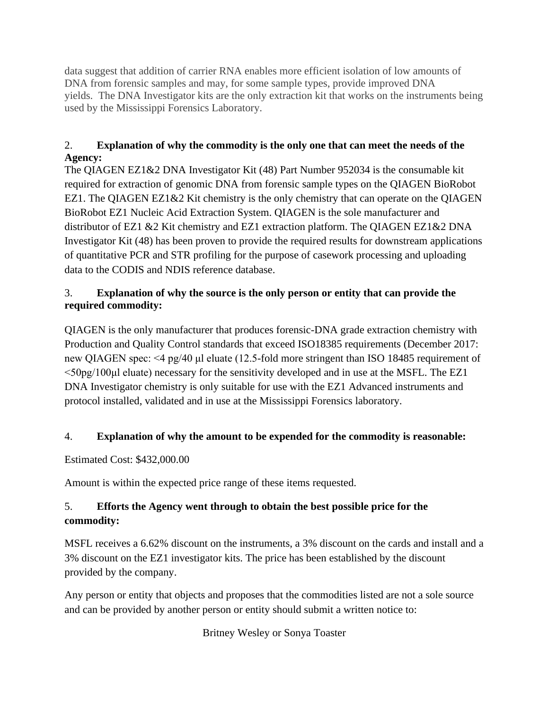data suggest that addition of carrier RNA enables more efficient isolation of low amounts of DNA from forensic samples and may, for some sample types, provide improved DNA yields. The DNA Investigator kits are the only extraction kit that works on the instruments being used by the Mississippi Forensics Laboratory.

#### 2. **Explanation of why the commodity is the only one that can meet the needs of the Agency:**

The QIAGEN EZ1&2 DNA Investigator Kit (48) Part Number 952034 is the consumable kit required for extraction of genomic DNA from forensic sample types on the QIAGEN BioRobot EZ1. The QIAGEN EZ1 $\&$ 2 Kit chemistry is the only chemistry that can operate on the QIAGEN BioRobot EZ1 Nucleic Acid Extraction System. QIAGEN is the sole manufacturer and distributor of EZ1 &2 Kit chemistry and EZ1 extraction platform. The QIAGEN EZ1&2 DNA Investigator Kit (48) has been proven to provide the required results for downstream applications of quantitative PCR and STR profiling for the purpose of casework processing and uploading data to the CODIS and NDIS reference database.

## 3. **Explanation of why the source is the only person or entity that can provide the required commodity:**

QIAGEN is the only manufacturer that produces forensic-DNA grade extraction chemistry with Production and Quality Control standards that exceed ISO18385 requirements (December 2017: new QIAGEN spec: <4 pg/40 μl eluate (12.5-fold more stringent than ISO 18485 requirement of <50pg/100μl eluate) necessary for the sensitivity developed and in use at the MSFL. The EZ1 DNA Investigator chemistry is only suitable for use with the EZ1 Advanced instruments and protocol installed, validated and in use at the Mississippi Forensics laboratory.

#### 4. **Explanation of why the amount to be expended for the commodity is reasonable:**

Estimated Cost: \$432,000.00

Amount is within the expected price range of these items requested.

# 5. **Efforts the Agency went through to obtain the best possible price for the commodity:**

MSFL receives a 6.62% discount on the instruments, a 3% discount on the cards and install and a 3% discount on the EZ1 investigator kits. The price has been established by the discount provided by the company.

Any person or entity that objects and proposes that the commodities listed are not a sole source and can be provided by another person or entity should submit a written notice to:

Britney Wesley or Sonya Toaster